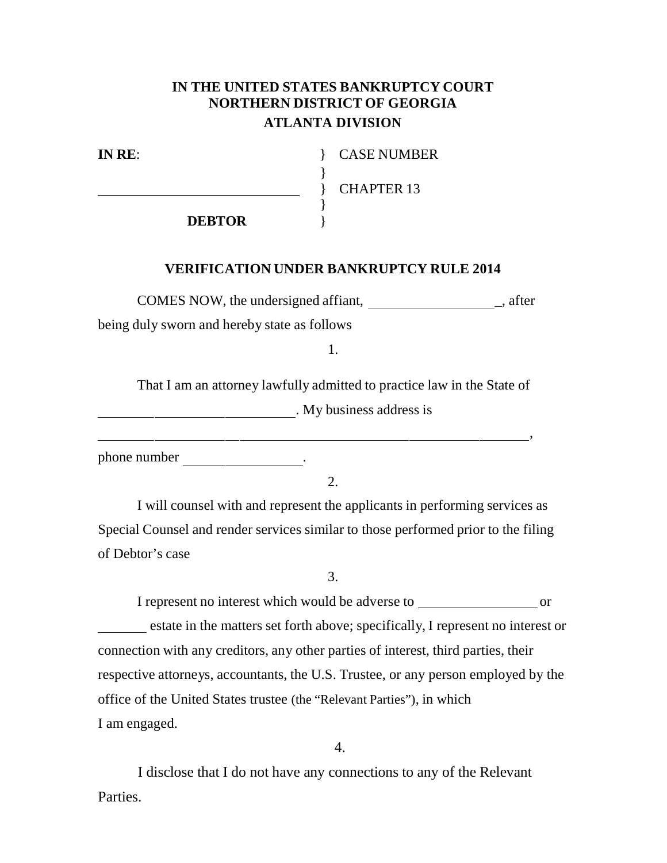## **IN THE UNITED STATES BANKRUPTCY COURT NORTHERN DISTRICT OF GEORGIA ATLANTA DIVISION**

}

}

**IN RE**: } CASE NUMBER

} CHAPTER 13

,

**DEBTOR** }

## **VERIFICATION UNDER BANKRUPTCY RULE 2014**

COMES NOW, the undersigned affiant,  $\qquad \qquad$  after being duly sworn and hereby state as follows

1.

That I am an attorney lawfully admitted to practice law in the State of . My business address is

phone number \_\_\_\_\_\_\_\_\_\_\_\_\_\_\_.

 $2<sub>1</sub>$ 

I will counsel with and represent the applicants in performing services as Special Counsel and render services similar to those performed prior to the filing of Debtor's case

3.

I represent no interest which would be adverse to or estate in the matters set forth above; specifically, I represent no interest or connection with any creditors, any other parties of interest, third parties, their respective attorneys, accountants, the U.S. Trustee, or any person employed by the office of the United States trustee (the "Relevant Parties"), in which I am engaged.

4.

I disclose that I do not have any connections to any of the Relevant Parties.